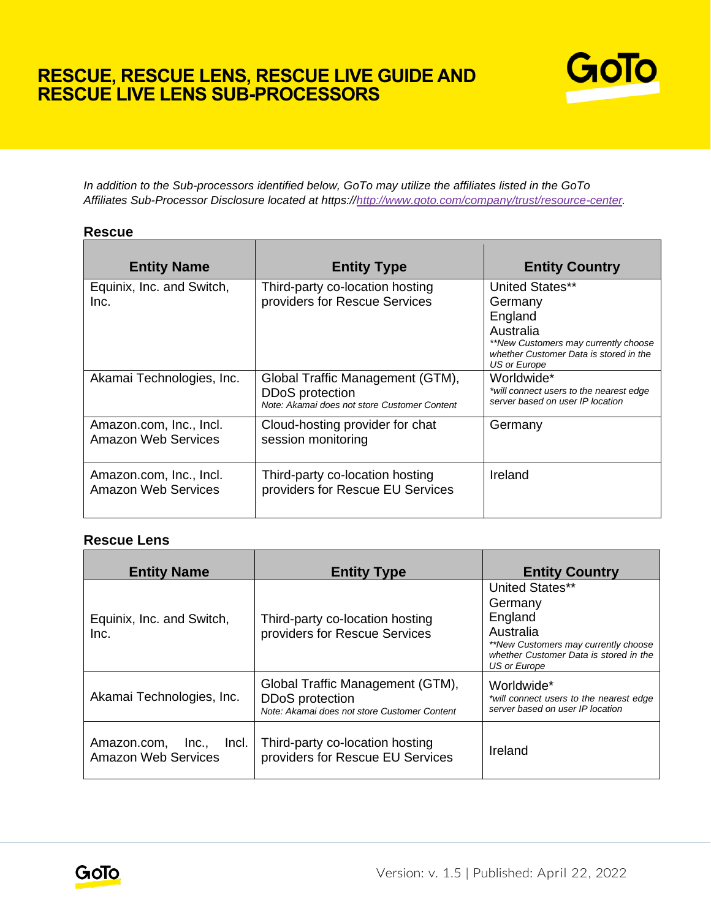# **RESCUE, RESCUE LENS, RESCUE LIVE GUIDE AND RESCUE LIVE LENS SUB-PROCESSORS**



*In addition to the Sub-processors identified below, GoTo may utilize the affiliates listed in the GoTo Affiliates Sub-Processor Disclosure located at https:/[/http://www.goto.com/company/trust/resource-center.](http://www.goto.com/company/trust/resource-center)*

### **Rescue**

| <b>Entity Name</b>                             | <b>Entity Type</b>                                                                                         | <b>Entity Country</b>                                                                                                                                |
|------------------------------------------------|------------------------------------------------------------------------------------------------------------|------------------------------------------------------------------------------------------------------------------------------------------------------|
| Equinix, Inc. and Switch,<br>Inc.              | Third-party co-location hosting<br>providers for Rescue Services                                           | United States**<br>Germany<br>England<br>Australia<br>**New Customers may currently choose<br>whether Customer Data is stored in the<br>US or Europe |
| Akamai Technologies, Inc.                      | Global Traffic Management (GTM),<br><b>DDoS</b> protection<br>Note: Akamai does not store Customer Content | Worldwide*<br>*will connect users to the nearest edge<br>server based on user IP location                                                            |
| Amazon.com, Inc., Incl.<br>Amazon Web Services | Cloud-hosting provider for chat<br>session monitoring                                                      | Germany                                                                                                                                              |
| Amazon.com, Inc., Incl.<br>Amazon Web Services | Third-party co-location hosting<br>providers for Rescue EU Services                                        | Ireland                                                                                                                                              |

#### **Rescue Lens**

| <b>Entity Name</b>                                       | <b>Entity Type</b>                                                                                  | <b>Entity Country</b>                                                                                                                                |
|----------------------------------------------------------|-----------------------------------------------------------------------------------------------------|------------------------------------------------------------------------------------------------------------------------------------------------------|
| Equinix, Inc. and Switch,<br>Inc.                        | Third-party co-location hosting<br>providers for Rescue Services                                    | United States**<br>Germany<br>England<br>Australia<br>**New Customers may currently choose<br>whether Customer Data is stored in the<br>US or Europe |
| Akamai Technologies, Inc.                                | Global Traffic Management (GTM),<br>DDoS protection<br>Note: Akamai does not store Customer Content | Worldwide*<br>*will connect users to the nearest edge<br>server based on user IP location                                                            |
| Amazon.com, Inc.,<br>Incl.<br><b>Amazon Web Services</b> | Third-party co-location hosting<br>providers for Rescue EU Services                                 | Ireland                                                                                                                                              |